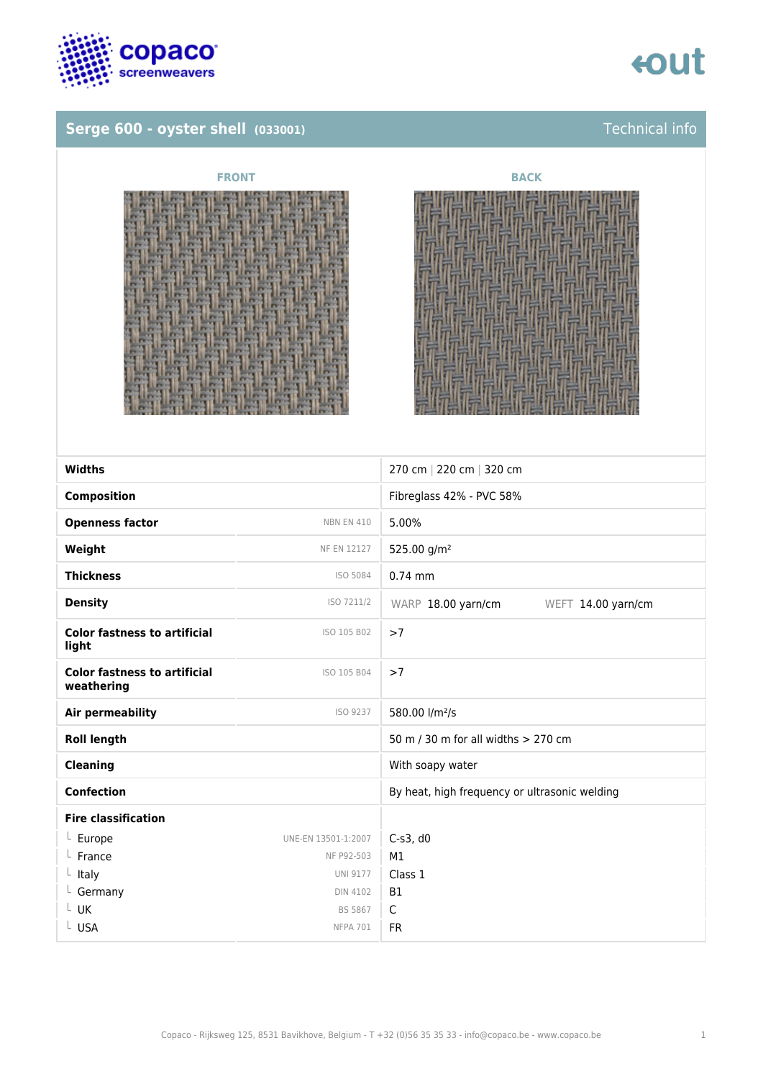

### **Serge 600 - oyster shell (033001)** Technical info







| <b>Widths</b>                                     |                     | 270 cm   220 cm   320 cm                      |
|---------------------------------------------------|---------------------|-----------------------------------------------|
| <b>Composition</b>                                |                     | Fibreglass 42% - PVC 58%                      |
| <b>Openness factor</b>                            | <b>NBN EN 410</b>   | 5.00%                                         |
| Weight                                            | <b>NF EN 12127</b>  | 525.00 g/m <sup>2</sup>                       |
| <b>Thickness</b>                                  | ISO 5084            | $0.74$ mm                                     |
| <b>Density</b>                                    | ISO 7211/2          | WARP 18.00 yarn/cm<br>WEFT 14.00 yarn/cm      |
| <b>Color fastness to artificial</b><br>light      | ISO 105 B02         | >7                                            |
| <b>Color fastness to artificial</b><br>weathering | ISO 105 B04         | >7                                            |
| <b>Air permeability</b>                           | ISO 9237            | 580.00 l/m <sup>2</sup> /s                    |
| <b>Roll length</b>                                |                     | 50 m / 30 m for all widths > 270 cm           |
| <b>Cleaning</b>                                   |                     | With soapy water                              |
| <b>Confection</b>                                 |                     | By heat, high frequency or ultrasonic welding |
| <b>Fire classification</b>                        |                     |                                               |
| $L$ Europe                                        | UNE-EN 13501-1:2007 | $C-s3$ , d $0$                                |
| France                                            | NF P92-503          | M1                                            |
| Italy                                             | <b>UNI 9177</b>     | Class 1                                       |
| Germany                                           | <b>DIN 4102</b>     | <b>B1</b>                                     |
| UK                                                | <b>BS 5867</b>      | $\mathsf C$                                   |
| L USA                                             | <b>NFPA 701</b>     | <b>FR</b>                                     |
|                                                   |                     |                                               |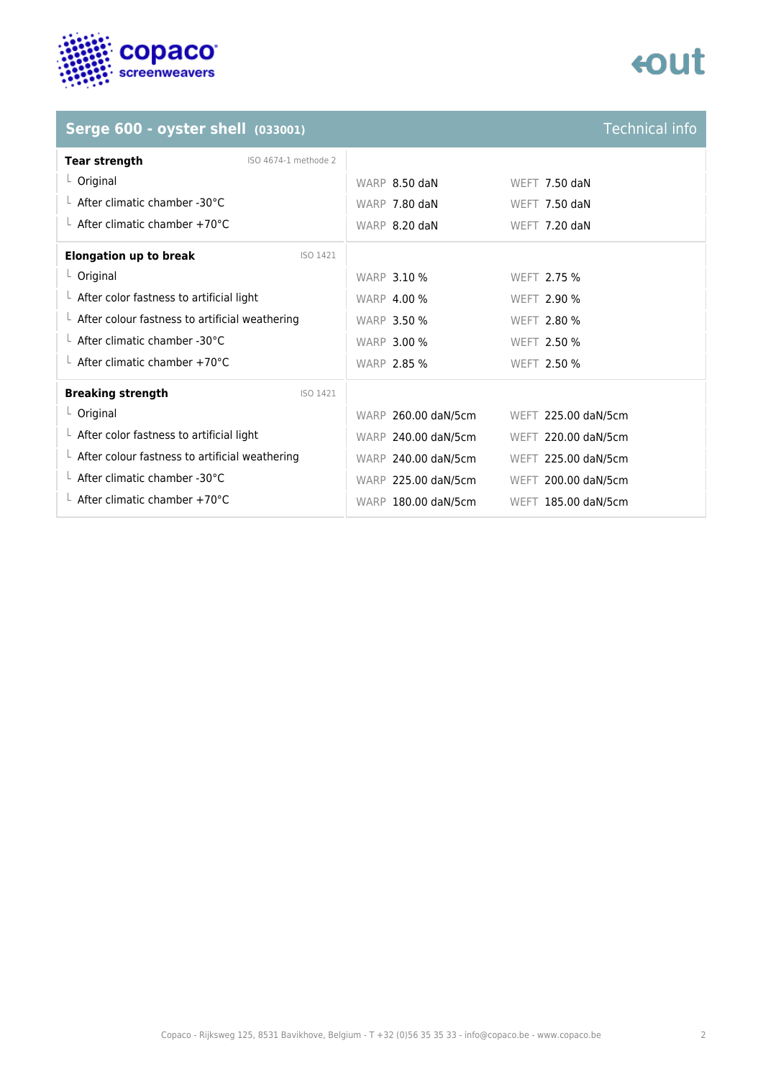

# tout

## **Serge 600 - oyster shell** (033001)

| <b>Technical info</b> |  |
|-----------------------|--|
|                       |  |
|                       |  |
|                       |  |

| <b>Tear strength</b><br>ISO 4674-1 methode 2           |                     |                     |
|--------------------------------------------------------|---------------------|---------------------|
| $L$ Original                                           | WARP 8.50 daN       | WEFT $7.50$ daN     |
| $\perp$ After climatic chamber -30°C                   | WARP 7.80 daN       | WEFT 7.50 daN       |
| $\perp$ After climatic chamber +70°C                   | WARP 8.20 daN       | WEFT 7.20 daN       |
| <b>Elongation up to break</b><br>ISO 1421              |                     |                     |
| $L$ Original                                           | <b>WARP 3.10 %</b>  | WEFT 2.75 %         |
| $\perp$ After color fastness to artificial light       | <b>WARP 4.00 %</b>  | <b>WEFT 2.90 %</b>  |
| $\perp$ After colour fastness to artificial weathering | <b>WARP 3.50 %</b>  | <b>WEFT 2.80 %</b>  |
| $\perp$ After climatic chamber -30°C                   | <b>WARP 3.00 %</b>  | WEFT 2.50 %         |
| $\perp$ After climatic chamber +70°C                   | <b>WARP 2.85 %</b>  | <b>WEFT 2.50 %</b>  |
| <b>Breaking strength</b><br>ISO 1421                   |                     |                     |
| $L$ Original                                           | WARP 260.00 daN/5cm | WEFT 225.00 daN/5cm |
| $\perp$ After color fastness to artificial light       | WARP 240.00 daN/5cm | WEFT 220.00 daN/5cm |
| $\perp$ After colour fastness to artificial weathering | WARP 240.00 daN/5cm | WEFT 225.00 daN/5cm |
| $\perp$ After climatic chamber -30°C                   | WARP 225.00 daN/5cm | WEFT 200.00 daN/5cm |
| $\perp$ After climatic chamber +70°C                   | WARP 180.00 daN/5cm | WEFT 185.00 daN/5cm |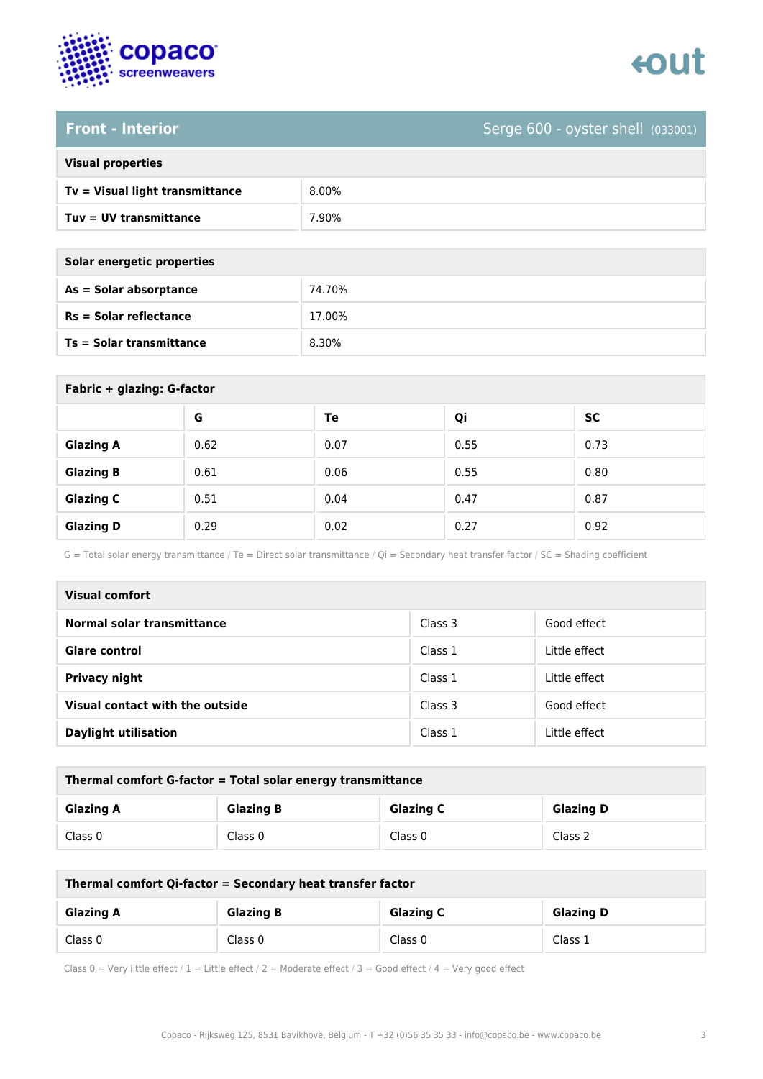



### **Front - Interior** Serge 600 - oyster shell (033001)

| <b>Visual properties</b> |  |  |
|--------------------------|--|--|
|                          |  |  |

| Tv = Visual light transmittance | 8.00% |
|---------------------------------|-------|
| Tuy = UV transmittance          | .90%  |

**As = Solar absorptance** 74.70%

**Rs = Solar reflectance** 17.00%

| Solar energetic properties      |        |
|---------------------------------|--------|
| As = Solar absorptance          | 74.70% |
| $Rs = Solar$ reflectance        | 17.00% |
| <b>Ts = Solar transmittance</b> | 8.30%  |

| Fabric + glazing: G-factor |      |      |      |           |
|----------------------------|------|------|------|-----------|
|                            | G    | Te   | Qi   | <b>SC</b> |
| <b>Glazing A</b>           | 0.62 | 0.07 | 0.55 | 0.73      |
| <b>Glazing B</b>           | 0.61 | 0.06 | 0.55 | 0.80      |
| <b>Glazing C</b>           | 0.51 | 0.04 | 0.47 | 0.87      |
| <b>Glazing D</b>           | 0.29 | 0.02 | 0.27 | 0.92      |

G = Total solar energy transmittance / Te = Direct solar transmittance / Qi = Secondary heat transfer factor / SC = Shading coefficient

| <b>Visual comfort</b>           |         |               |
|---------------------------------|---------|---------------|
| Normal solar transmittance      | Class 3 | Good effect   |
| Glare control                   | Class 1 | Little effect |
| Privacy night                   | Class 1 | Little effect |
| Visual contact with the outside | Class 3 | Good effect   |
| <b>Daylight utilisation</b>     | Class 1 | Little effect |

| Thermal comfort G-factor = Total solar energy transmittance |                  |                  |                  |
|-------------------------------------------------------------|------------------|------------------|------------------|
| <b>Glazing A</b>                                            | <b>Glazing B</b> | <b>Glazing C</b> | <b>Glazing D</b> |
| Class 0                                                     | Class 0          | Class 0          | Class 2          |

| Thermal comfort Qi-factor = Secondary heat transfer factor |                  |                  |                  |
|------------------------------------------------------------|------------------|------------------|------------------|
| <b>Glazing A</b>                                           | <b>Glazing B</b> | <b>Glazing C</b> | <b>Glazing D</b> |
| Class 0                                                    | Class 0          | Class 0          | Class 1          |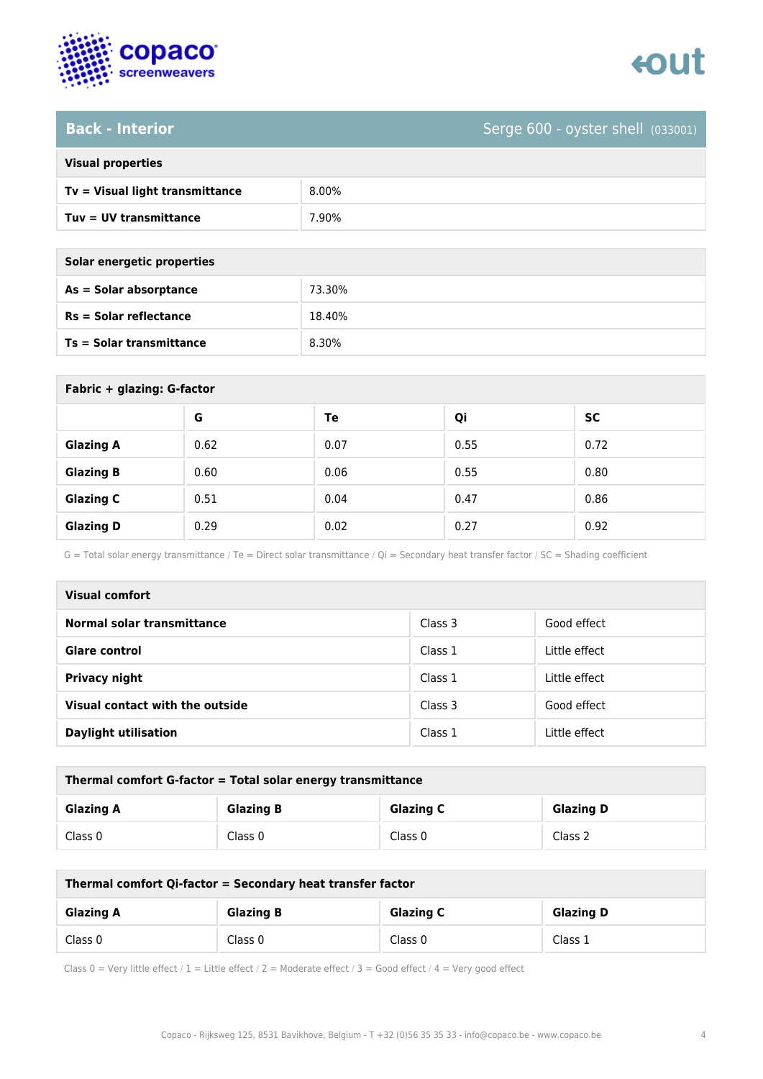

# **Back - Interior** Serge 600 - oyster shell (033001)

| <b>Visual properties</b> |  |
|--------------------------|--|
|                          |  |

| Tv = Visual light transmittance | 8.00%   |
|---------------------------------|---------|
| Tuy = UV transmittance          | $.90\%$ |

| Solar energetic properties      |        |
|---------------------------------|--------|
| As = Solar absorptance          | 73.30% |
| $Rs = Solar$ reflectance        | 18.40% |
| <b>Ts = Solar transmittance</b> | 8.30%  |

| Fabric + glazing: G-factor |      |      |      |           |
|----------------------------|------|------|------|-----------|
|                            | G    | Te   | Qi   | <b>SC</b> |
| <b>Glazing A</b>           | 0.62 | 0.07 | 0.55 | 0.72      |
| <b>Glazing B</b>           | 0.60 | 0.06 | 0.55 | 0.80      |
| <b>Glazing C</b>           | 0.51 | 0.04 | 0.47 | 0.86      |
| <b>Glazing D</b>           | 0.29 | 0.02 | 0.27 | 0.92      |

G = Total solar energy transmittance / Te = Direct solar transmittance / Qi = Secondary heat transfer factor / SC = Shading coefficient

| <b>Visual comfort</b>           |         |               |
|---------------------------------|---------|---------------|
| Normal solar transmittance      | Class 3 | Good effect   |
| <b>Glare control</b>            | Class 1 | Little effect |
| <b>Privacy night</b>            | Class 1 | Little effect |
| Visual contact with the outside | Class 3 | Good effect   |
| <b>Daylight utilisation</b>     | Class 1 | Little effect |

| Thermal comfort G-factor = Total solar energy transmittance |                  |                  |                  |  |
|-------------------------------------------------------------|------------------|------------------|------------------|--|
| <b>Glazing A</b>                                            | <b>Glazing B</b> | <b>Glazing C</b> | <b>Glazing D</b> |  |
| Class 0                                                     | Class 0          | Class 0          | Class 2          |  |

| Thermal comfort Qi-factor = Secondary heat transfer factor |                  |                  |                  |  |
|------------------------------------------------------------|------------------|------------------|------------------|--|
| <b>Glazing A</b>                                           | <b>Glazing B</b> | <b>Glazing C</b> | <b>Glazing D</b> |  |
| Class 0                                                    | Class 0          | Class 0          | Class 1          |  |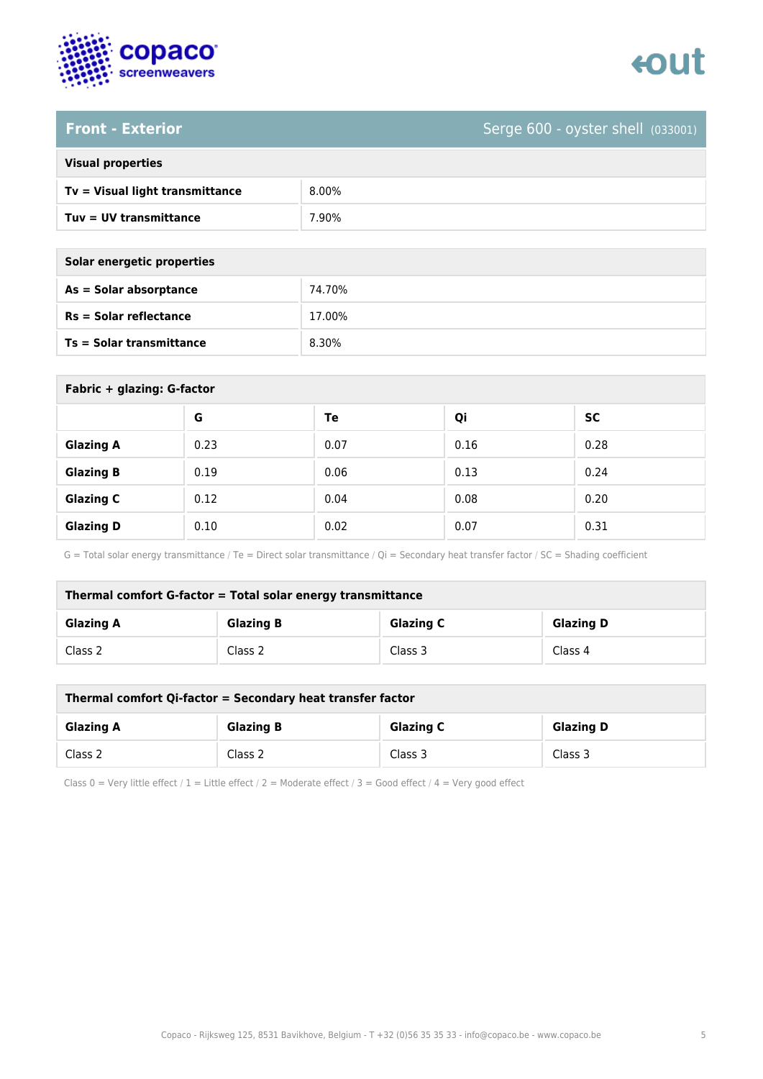



## **Front - Exterior** Serge 600 - oyster shell (033001)

| <b>Visual properties</b> |  |  |
|--------------------------|--|--|
|                          |  |  |

| Tv = Visual light transmittance | 8.00%            |
|---------------------------------|------------------|
| $Tuv = UV$ transmittance        | $^{\prime}.90\%$ |

**As = Solar absorptance** 74.70%

**Rs = Solar reflectance** 17.00%

| Solar energetic properties |        |
|----------------------------|--------|
| As = Solar absorptance     | 74.70% |
| $Rs = Solar$ reflectance   | 17.00% |
| Ts = Solar transmittance   | 8.30%  |

| Fabric + glazing: G-factor |      |      |      |           |
|----------------------------|------|------|------|-----------|
|                            | G    | Te   | Qi   | <b>SC</b> |
| <b>Glazing A</b>           | 0.23 | 0.07 | 0.16 | 0.28      |
| <b>Glazing B</b>           | 0.19 | 0.06 | 0.13 | 0.24      |
| <b>Glazing C</b>           | 0.12 | 0.04 | 0.08 | 0.20      |
| <b>Glazing D</b>           | 0.10 | 0.02 | 0.07 | 0.31      |

G = Total solar energy transmittance / Te = Direct solar transmittance / Qi = Secondary heat transfer factor / SC = Shading coefficient

| Thermal comfort G-factor = Total solar energy transmittance |                  |                  |                  |  |
|-------------------------------------------------------------|------------------|------------------|------------------|--|
| <b>Glazing A</b>                                            | <b>Glazing B</b> | <b>Glazing C</b> | <b>Glazing D</b> |  |
| Class 2                                                     | Class 2          | Class 3          | Class 4          |  |

| Thermal comfort Qi-factor = Secondary heat transfer factor |                  |                  |                  |  |
|------------------------------------------------------------|------------------|------------------|------------------|--|
| <b>Glazing A</b>                                           | <b>Glazing B</b> | <b>Glazing C</b> | <b>Glazing D</b> |  |
| Class 2                                                    | Class 2          | Class 3          | Class 3          |  |